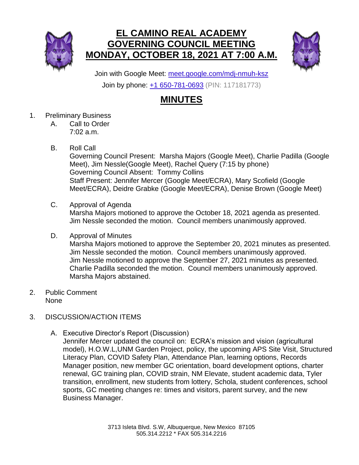

## **EL CAMINO REAL ACADEMY GOVERNING COUNCIL MEETING MONDAY, OCTOBER 18, 2021 AT 7:00 A.M.**



Join with Google Meet: [meet.google.com/mdj-nmuh-ksz](https://meet.google.com/mdj-nmuh-ksz?hs=224) Join by phone: [+1 650-781-0693](tel:+1-650-781-0693;117181773) (PIN: 117181773)

## **MINUTES**

- 1. Preliminary Business
	- A. Call to Order 7:02 a.m.
	- B. Roll Call

Governing Council Present: Marsha Majors (Google Meet), Charlie Padilla (Google Meet), Jim Nessle(Google Meet), Rachel Query (7:15 by phone) Governing Council Absent: Tommy Collins Staff Present: Jennifer Mercer (Google Meet/ECRA), Mary Scofield (Google Meet/ECRA), Deidre Grabke (Google Meet/ECRA), Denise Brown (Google Meet)

C. Approval of Agenda

Marsha Majors motioned to approve the October 18, 2021 agenda as presented. Jim Nessle seconded the motion. Council members unanimously approved.

D. Approval of Minutes

Marsha Majors motioned to approve the September 20, 2021 minutes as presented. Jim Nessle seconded the motion. Council members unanimously approved. Jim Nessle motioned to approve the September 27, 2021 minutes as presented. Charlie Padilla seconded the motion. Council members unanimously approved. Marsha Majors abstained.

- 2. Public Comment None
- 3. DISCUSSION/ACTION ITEMS
	- A. Executive Director's Report (Discussion)

Jennifer Mercer updated the council on: ECRA's mission and vision (agricultural model), H.O.W.L,UNM Garden Project, policy, the upcoming APS Site Visit, Structured Literacy Plan, COVID Safety Plan, Attendance Plan, learning options, Records Manager position, new member GC orientation, board development options, charter renewal, GC training plan, COVID strain, NM Elevate, student academic data, Tyler transition, enrollment, new students from lottery, Schola, student conferences, school sports, GC meeting changes re: times and visitors, parent survey, and the new Business Manager.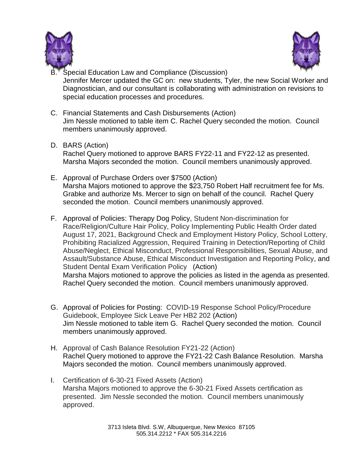



- Special Education Law and Compliance (Discussion) Jennifer Mercer updated the GC on: new students, Tyler, the new Social Worker and Diagnostician, and our consultant is collaborating with administration on revisions to special education processes and procedures.
- C. Financial Statements and Cash Disbursements (Action) Jim Nessle motioned to table item C. Rachel Query seconded the motion. Council members unanimously approved.
- D. BARS (Action)

Rachel Query motioned to approve BARS FY22-11 and FY22-12 as presented. Marsha Majors seconded the motion. Council members unanimously approved.

- E. Approval of Purchase Orders over \$7500 (Action) Marsha Majors motioned to approve the \$23,750 Robert Half recruitment fee for Ms. Grabke and authorize Ms. Mercer to sign on behalf of the council. Rachel Query seconded the motion. Council members unanimously approved.
- F. Approval of Policies: Therapy Dog Policy, Student Non-discrimination for Race/Religion/Culture Hair Policy, Policy Implementing Public Health Order dated August 17, 2021, Background Check and Employment History Policy, School Lottery, Prohibiting Racialized Aggression, Required Training in Detection/Reporting of Child Abuse/Neglect, Ethical Misconduct, Professional Responsibilities, Sexual Abuse, and Assault/Substance Abuse, Ethical Misconduct Investigation and Reporting Policy, and Student Dental Exam Verification Policy (Action) Marsha Majors motioned to approve the policies as listed in the agenda as presented. Rachel Query seconded the motion. Council members unanimously approved.
- G. Approval of Policies for Posting: COVID-19 Response School Policy/Procedure Guidebook, Employee Sick Leave Per HB2 202 (Action) Jim Nessle motioned to table item G. Rachel Query seconded the motion. Council members unanimously approved.
- H. Approval of Cash Balance Resolution FY21-22 (Action) Rachel Query motioned to approve the FY21-22 Cash Balance Resolution. Marsha Majors seconded the motion. Council members unanimously approved.
- I. Certification of 6-30-21 Fixed Assets (Action) Marsha Majors motioned to approve the 6-30-21 Fixed Assets certification as presented. Jim Nessle seconded the motion. Council members unanimously approved.